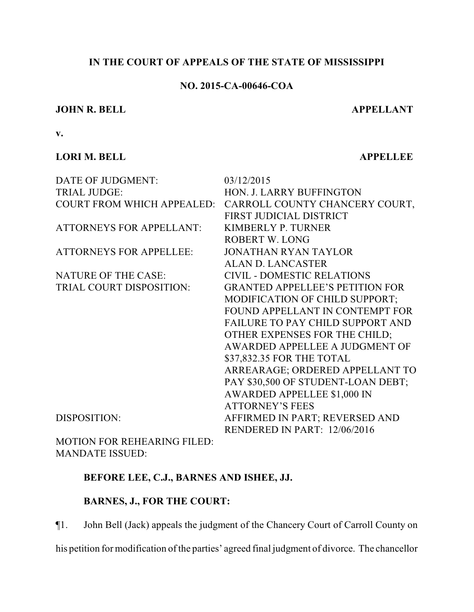# **IN THE COURT OF APPEALS OF THE STATE OF MISSISSIPPI**

# **NO. 2015-CA-00646-COA**

## **JOHN R. BELL APPELLANT**

**v.**

# **LORI M. BELL APPELLEE**

| DATE OF JUDGMENT:               | 03/12/2015                                                |
|---------------------------------|-----------------------------------------------------------|
| <b>TRIAL JUDGE:</b>             | HON. J. LARRY BUFFINGTON                                  |
|                                 | COURT FROM WHICH APPEALED: CARROLL COUNTY CHANCERY COURT, |
|                                 | FIRST JUDICIAL DISTRICT                                   |
| <b>ATTORNEYS FOR APPELLANT:</b> | <b>KIMBERLY P. TURNER</b>                                 |
|                                 | ROBERT W. LONG                                            |
| <b>ATTORNEYS FOR APPELLEE:</b>  | <b>JONATHAN RYAN TAYLOR</b>                               |
|                                 | <b>ALAN D. LANCASTER</b>                                  |
| <b>NATURE OF THE CASE:</b>      | <b>CIVIL - DOMESTIC RELATIONS</b>                         |
| TRIAL COURT DISPOSITION:        | <b>GRANTED APPELLEE'S PETITION FOR</b>                    |
|                                 | MODIFICATION OF CHILD SUPPORT;                            |
|                                 | FOUND APPELLANT IN CONTEMPT FOR                           |
|                                 | FAILURE TO PAY CHILD SUPPORT AND                          |
|                                 | OTHER EXPENSES FOR THE CHILD;                             |
|                                 | AWARDED APPELLEE A JUDGMENT OF                            |
|                                 | \$37,832.35 FOR THE TOTAL                                 |
|                                 | ARREARAGE; ORDERED APPELLANT TO                           |
|                                 | PAY \$30,500 OF STUDENT-LOAN DEBT;                        |
|                                 | <b>AWARDED APPELLEE \$1,000 IN</b>                        |
|                                 | <b>ATTORNEY'S FEES</b>                                    |
| <b>DISPOSITION:</b>             | AFFIRMED IN PART; REVERSED AND                            |
|                                 | RENDERED IN PART: 12/06/2016                              |
| MOTION EOP PEUE A DIMC EII ED.  |                                                           |

MOTION FOR REHEARING FILED: MANDATE ISSUED:

# **BEFORE LEE, C.J., BARNES AND ISHEE, JJ.**

# **BARNES, J., FOR THE COURT:**

¶1. John Bell (Jack) appeals the judgment of the Chancery Court of Carroll County on

his petition for modification of the parties' agreed final judgment of divorce. The chancellor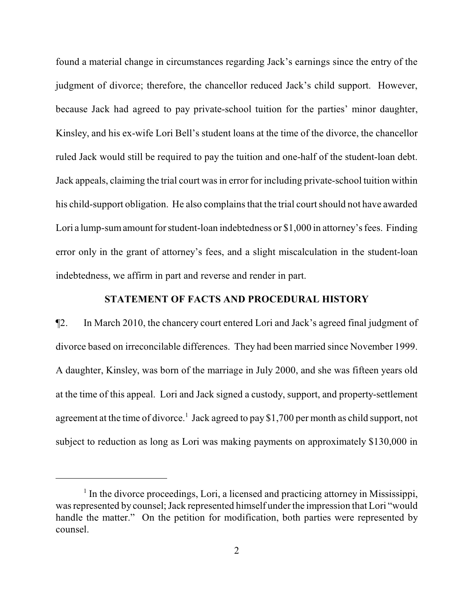found a material change in circumstances regarding Jack's earnings since the entry of the judgment of divorce; therefore, the chancellor reduced Jack's child support. However, because Jack had agreed to pay private-school tuition for the parties' minor daughter, Kinsley, and his ex-wife Lori Bell's student loans at the time of the divorce, the chancellor ruled Jack would still be required to pay the tuition and one-half of the student-loan debt. Jack appeals, claiming the trial court was in error for including private-school tuition within his child-support obligation. He also complains that the trial court should not have awarded Lori a lump-sumamount for student-loan indebtedness or \$1,000 in attorney's fees. Finding error only in the grant of attorney's fees, and a slight miscalculation in the student-loan indebtedness, we affirm in part and reverse and render in part.

# **STATEMENT OF FACTS AND PROCEDURAL HISTORY**

¶2. In March 2010, the chancery court entered Lori and Jack's agreed final judgment of divorce based on irreconcilable differences. They had been married since November 1999. A daughter, Kinsley, was born of the marriage in July 2000, and she was fifteen years old at the time of this appeal. Lori and Jack signed a custody, support, and property-settlement agreement at the time of divorce.<sup>1</sup> Jack agreed to pay \$1,700 per month as child support, not subject to reduction as long as Lori was making payments on approximately \$130,000 in

<sup>&</sup>lt;sup>1</sup> In the divorce proceedings, Lori, a licensed and practicing attorney in Mississippi, was represented by counsel; Jack represented himself under the impression that Lori "would handle the matter." On the petition for modification, both parties were represented by counsel.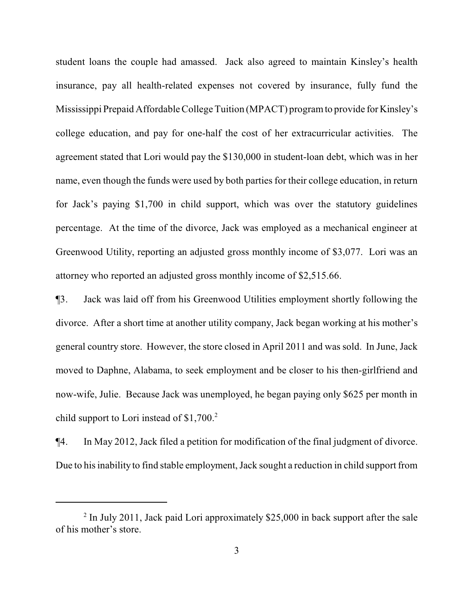student loans the couple had amassed. Jack also agreed to maintain Kinsley's health insurance, pay all health-related expenses not covered by insurance, fully fund the Mississippi Prepaid Affordable College Tuition (MPACT) program to provide for Kinsley's college education, and pay for one-half the cost of her extracurricular activities. The agreement stated that Lori would pay the \$130,000 in student-loan debt, which was in her name, even though the funds were used by both parties for their college education, in return for Jack's paying \$1,700 in child support, which was over the statutory guidelines percentage. At the time of the divorce, Jack was employed as a mechanical engineer at Greenwood Utility, reporting an adjusted gross monthly income of \$3,077. Lori was an attorney who reported an adjusted gross monthly income of \$2,515.66.

¶3. Jack was laid off from his Greenwood Utilities employment shortly following the divorce. After a short time at another utility company, Jack began working at his mother's general country store. However, the store closed in April 2011 and was sold. In June, Jack moved to Daphne, Alabama, to seek employment and be closer to his then-girlfriend and now-wife, Julie. Because Jack was unemployed, he began paying only \$625 per month in child support to Lori instead of \$1,700. 2

¶4. In May 2012, Jack filed a petition for modification of the final judgment of divorce. Due to his inability to find stable employment, Jack sought a reduction in child support from

 $2$  In July 2011, Jack paid Lori approximately \$25,000 in back support after the sale of his mother's store.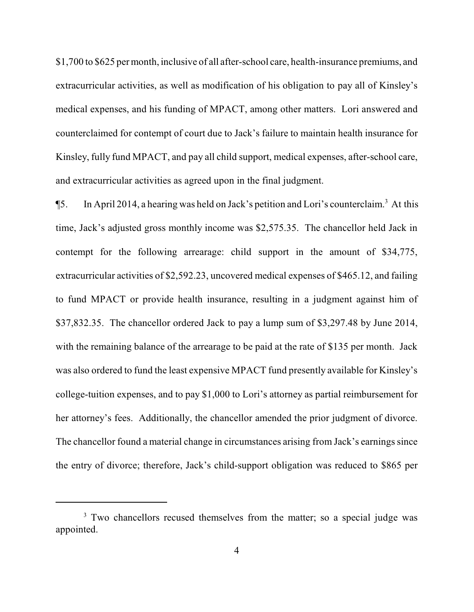\$1,700 to \$625 per month, inclusive of all after-school care, health-insurance premiums, and extracurricular activities, as well as modification of his obligation to pay all of Kinsley's medical expenses, and his funding of MPACT, among other matters. Lori answered and counterclaimed for contempt of court due to Jack's failure to maintain health insurance for Kinsley, fully fund MPACT, and pay all child support, medical expenses, after-school care, and extracurricular activities as agreed upon in the final judgment.

¶5. In April 2014, a hearing was held on Jack's petition and Lori's counterclaim. <sup>3</sup> At this time, Jack's adjusted gross monthly income was \$2,575.35. The chancellor held Jack in contempt for the following arrearage: child support in the amount of \$34,775, extracurricular activities of \$2,592.23, uncovered medical expenses of \$465.12, and failing to fund MPACT or provide health insurance, resulting in a judgment against him of \$37,832.35. The chancellor ordered Jack to pay a lump sum of \$3,297.48 by June 2014, with the remaining balance of the arrearage to be paid at the rate of \$135 per month. Jack was also ordered to fund the least expensive MPACT fund presently available for Kinsley's college-tuition expenses, and to pay \$1,000 to Lori's attorney as partial reimbursement for her attorney's fees. Additionally, the chancellor amended the prior judgment of divorce. The chancellor found a material change in circumstances arising from Jack's earnings since the entry of divorce; therefore, Jack's child-support obligation was reduced to \$865 per

<sup>&</sup>lt;sup>3</sup> Two chancellors recused themselves from the matter; so a special judge was appointed.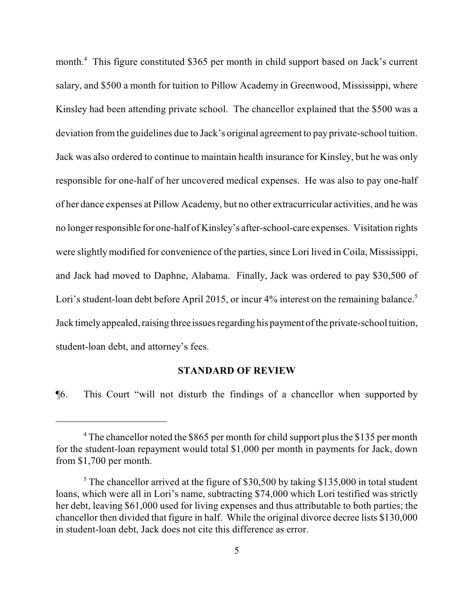month. <sup>4</sup> This figure constituted \$365 per month in child support based on Jack's current salary, and \$500 a month for tuition to Pillow Academy in Greenwood, Mississippi, where Kinsley had been attending private school. The chancellor explained that the \$500 was a deviation from the guidelines due to Jack's original agreement to pay private-school tuition. Jack was also ordered to continue to maintain health insurance for Kinsley, but he was only responsible for one-half of her uncovered medical expenses. He was also to pay one-half of her dance expenses at Pillow Academy, but no other extracurricular activities, and he was no longer responsible for one-half of Kinsley's after-school-care expenses. Visitation rights were slightly modified for convenience of the parties, since Lori lived in Coila, Mississippi, and Jack had moved to Daphne, Alabama. Finally, Jack was ordered to pay \$30,500 of Lori's student-loan debt before April 2015, or incur 4% interest on the remaining balance.<sup>5</sup> Jack timely appealed, raising three issues regarding his payment of the private-school tuition, student-loan debt, and attorney's fees.

## **STANDARD OF REVIEW**

¶6. This Court "will not disturb the findings of a chancellor when supported by

<sup>&</sup>lt;sup>4</sup> The chancellor noted the \$865 per month for child support plus the \$135 per month for the student-loan repayment would total \$1,000 per month in payments for Jack, down from \$1,700 per month.

 $5$  The chancellor arrived at the figure of \$30,500 by taking \$135,000 in total student loans, which were all in Lori's name, subtracting \$74,000 which Lori testified was strictly her debt, leaving \$61,000 used for living expenses and thus attributable to both parties; the chancellor then divided that figure in half. While the original divorce decree lists \$130,000 in student-loan debt, Jack does not cite this difference as error.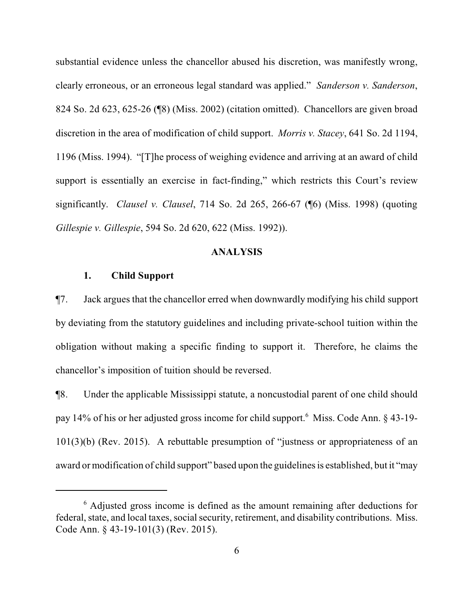substantial evidence unless the chancellor abused his discretion, was manifestly wrong, clearly erroneous, or an erroneous legal standard was applied." *Sanderson v. Sanderson*, 824 So. 2d 623, 625-26 (¶8) (Miss. 2002) (citation omitted). Chancellors are given broad discretion in the area of modification of child support. *Morris v. Stacey*, 641 So. 2d 1194, 1196 (Miss. 1994). "[T]he process of weighing evidence and arriving at an award of child support is essentially an exercise in fact-finding," which restricts this Court's review significantly. *Clausel v. Clausel*, 714 So. 2d 265, 266-67 (¶6) (Miss. 1998) (quoting *Gillespie v. Gillespie*, 594 So. 2d 620, 622 (Miss. 1992)).

### **ANALYSIS**

#### **1. Child Support**

¶7. Jack argues that the chancellor erred when downwardly modifying his child support by deviating from the statutory guidelines and including private-school tuition within the obligation without making a specific finding to support it. Therefore, he claims the chancellor's imposition of tuition should be reversed.

¶8. Under the applicable Mississippi statute, a noncustodial parent of one child should pay 14% of his or her adjusted gross income for child support.<sup>6</sup> Miss. Code Ann. § 43-19-101(3)(b) (Rev. 2015). A rebuttable presumption of "justness or appropriateness of an award or modification of child support" based upon the guidelines is established, but it "may

<sup>&</sup>lt;sup>6</sup> Adjusted gross income is defined as the amount remaining after deductions for federal, state, and local taxes, social security, retirement, and disability contributions. Miss. Code Ann. § 43-19-101(3) (Rev. 2015).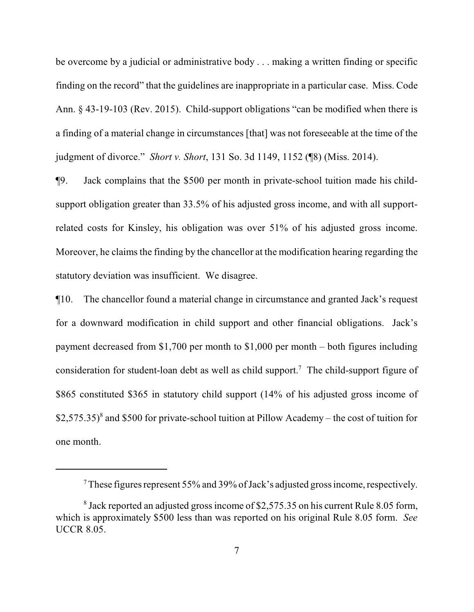be overcome by a judicial or administrative body . . . making a written finding or specific finding on the record" that the guidelines are inappropriate in a particular case. Miss. Code Ann. § 43-19-103 (Rev. 2015). Child-support obligations "can be modified when there is a finding of a material change in circumstances [that] was not foreseeable at the time of the judgment of divorce." *Short v. Short*, 131 So. 3d 1149, 1152 (¶8) (Miss. 2014).

¶9. Jack complains that the \$500 per month in private-school tuition made his childsupport obligation greater than 33.5% of his adjusted gross income, and with all supportrelated costs for Kinsley, his obligation was over 51% of his adjusted gross income. Moreover, he claims the finding by the chancellor at the modification hearing regarding the statutory deviation was insufficient. We disagree.

¶10. The chancellor found a material change in circumstance and granted Jack's request for a downward modification in child support and other financial obligations. Jack's payment decreased from \$1,700 per month to \$1,000 per month – both figures including consideration for student-loan debt as well as child support.<sup>7</sup> The child-support figure of \$865 constituted \$365 in statutory child support (14% of his adjusted gross income of \$2,575.35)<sup>8</sup> and \$500 for private-school tuition at Pillow Academy – the cost of tuition for one month.

 $7$  These figures represent 55% and 39% of Jack's adjusted gross income, respectively.

<sup>&</sup>lt;sup>8</sup> Jack reported an adjusted gross income of \$2,575.35 on his current Rule 8.05 form, which is approximately \$500 less than was reported on his original Rule 8.05 form. *See* UCCR 8.05.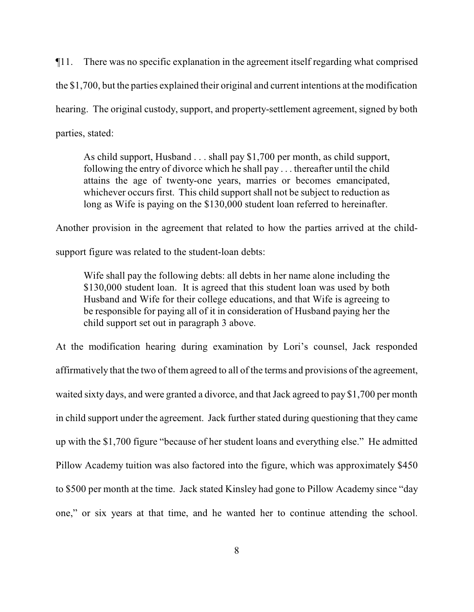¶11. There was no specific explanation in the agreement itself regarding what comprised the \$1,700, but the parties explained their original and current intentions at the modification hearing. The original custody, support, and property-settlement agreement, signed by both parties, stated:

As child support, Husband . . . shall pay \$1,700 per month, as child support, following the entry of divorce which he shall pay . . . thereafter until the child attains the age of twenty-one years, marries or becomes emancipated, whichever occurs first. This child support shall not be subject to reduction as long as Wife is paying on the \$130,000 student loan referred to hereinafter.

Another provision in the agreement that related to how the parties arrived at the child-

support figure was related to the student-loan debts:

Wife shall pay the following debts: all debts in her name alone including the \$130,000 student loan. It is agreed that this student loan was used by both Husband and Wife for their college educations, and that Wife is agreeing to be responsible for paying all of it in consideration of Husband paying her the child support set out in paragraph 3 above.

At the modification hearing during examination by Lori's counsel, Jack responded affirmatively that the two of them agreed to all of the terms and provisions of the agreement, waited sixty days, and were granted a divorce, and that Jack agreed to pay \$1,700 per month in child support under the agreement. Jack further stated during questioning that they came up with the \$1,700 figure "because of her student loans and everything else." He admitted Pillow Academy tuition was also factored into the figure, which was approximately \$450 to \$500 per month at the time. Jack stated Kinsley had gone to Pillow Academy since "day one," or six years at that time, and he wanted her to continue attending the school.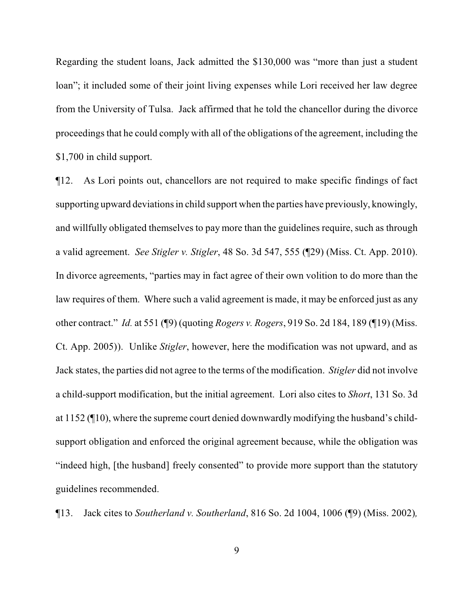Regarding the student loans, Jack admitted the \$130,000 was "more than just a student loan"; it included some of their joint living expenses while Lori received her law degree from the University of Tulsa. Jack affirmed that he told the chancellor during the divorce proceedings that he could comply with all of the obligations of the agreement, including the \$1,700 in child support.

¶12. As Lori points out, chancellors are not required to make specific findings of fact supporting upward deviations in child support when the parties have previously, knowingly, and willfully obligated themselves to pay more than the guidelines require, such as through a valid agreement. *See Stigler v. Stigler*, 48 So. 3d 547, 555 (¶29) (Miss. Ct. App. 2010). In divorce agreements, "parties may in fact agree of their own volition to do more than the law requires of them. Where such a valid agreement is made, it may be enforced just as any other contract." *Id.* at 551 (¶9) (quoting *Rogers v. Rogers*, 919 So. 2d 184, 189 (¶19) (Miss. Ct. App. 2005)). Unlike *Stigler*, however, here the modification was not upward, and as Jack states, the parties did not agree to the terms of the modification. *Stigler* did not involve a child-support modification, but the initial agreement. Lori also cites to *Short*, 131 So. 3d at 1152 (¶10), where the supreme court denied downwardly modifying the husband's childsupport obligation and enforced the original agreement because, while the obligation was "indeed high, [the husband] freely consented" to provide more support than the statutory guidelines recommended.

¶13. Jack cites to *Southerland v. Southerland*, 816 So. 2d 1004, 1006 (¶9) (Miss. 2002)*,*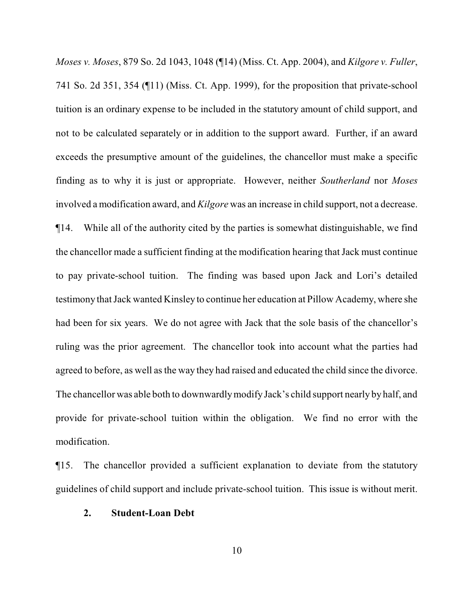*Moses v. Moses*, 879 So. 2d 1043, 1048 (¶14) (Miss. Ct. App. 2004), and *Kilgore v. Fuller*, 741 So. 2d 351, 354 (¶11) (Miss. Ct. App. 1999), for the proposition that private-school tuition is an ordinary expense to be included in the statutory amount of child support, and not to be calculated separately or in addition to the support award. Further, if an award exceeds the presumptive amount of the guidelines, the chancellor must make a specific finding as to why it is just or appropriate. However, neither *Southerland* nor *Moses* involved a modification award, and *Kilgore* was an increase in child support, not a decrease. ¶14. While all of the authority cited by the parties is somewhat distinguishable, we find the chancellor made a sufficient finding at the modification hearing that Jack must continue to pay private-school tuition. The finding was based upon Jack and Lori's detailed testimony that Jack wanted Kinsley to continue her education at Pillow Academy, where she had been for six years. We do not agree with Jack that the sole basis of the chancellor's ruling was the prior agreement. The chancellor took into account what the parties had agreed to before, as well as the way they had raised and educated the child since the divorce. The chancellor was able both to downwardlymodify Jack's child support nearly by half, and provide for private-school tuition within the obligation. We find no error with the modification.

¶15. The chancellor provided a sufficient explanation to deviate from the statutory guidelines of child support and include private-school tuition. This issue is without merit.

### **2. Student-Loan Debt**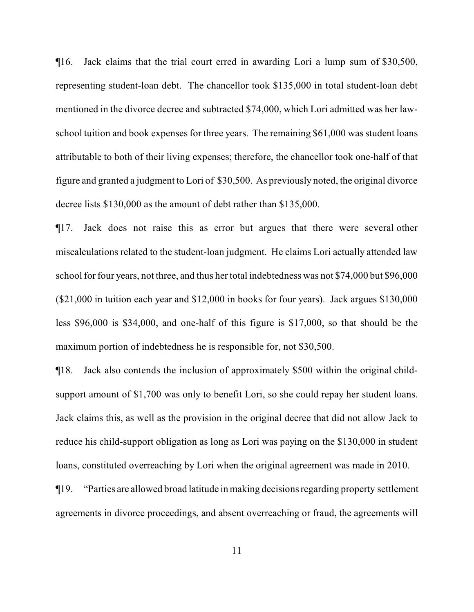¶16. Jack claims that the trial court erred in awarding Lori a lump sum of \$30,500, representing student-loan debt. The chancellor took \$135,000 in total student-loan debt mentioned in the divorce decree and subtracted \$74,000, which Lori admitted was her lawschool tuition and book expenses for three years. The remaining \$61,000 was student loans attributable to both of their living expenses; therefore, the chancellor took one-half of that figure and granted a judgment to Lori of \$30,500. As previously noted, the original divorce decree lists \$130,000 as the amount of debt rather than \$135,000.

¶17. Jack does not raise this as error but argues that there were several other miscalculations related to the student-loan judgment. He claims Lori actually attended law school for four years, not three, and thus her total indebtedness was not \$74,000 but \$96,000 (\$21,000 in tuition each year and \$12,000 in books for four years). Jack argues \$130,000 less \$96,000 is \$34,000, and one-half of this figure is \$17,000, so that should be the maximum portion of indebtedness he is responsible for, not \$30,500.

¶18. Jack also contends the inclusion of approximately \$500 within the original childsupport amount of \$1,700 was only to benefit Lori, so she could repay her student loans. Jack claims this, as well as the provision in the original decree that did not allow Jack to reduce his child-support obligation as long as Lori was paying on the \$130,000 in student loans, constituted overreaching by Lori when the original agreement was made in 2010.

¶19. "Parties are allowed broad latitude in making decisions regarding property settlement agreements in divorce proceedings, and absent overreaching or fraud, the agreements will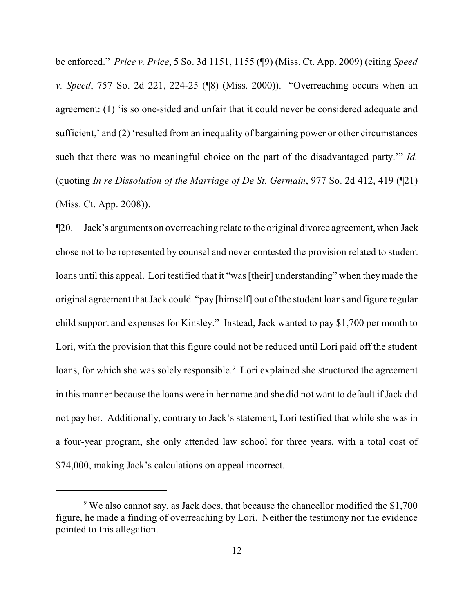be enforced." *Price v. Price*, 5 So. 3d 1151, 1155 (¶9) (Miss. Ct. App. 2009) (citing *Speed v. Speed*, 757 So. 2d 221, 224-25 (¶8) (Miss. 2000)). "Overreaching occurs when an agreement: (1) 'is so one-sided and unfair that it could never be considered adequate and sufficient,' and (2) 'resulted from an inequality of bargaining power or other circumstances such that there was no meaningful choice on the part of the disadvantaged party.'" *Id.* (quoting *In re Dissolution of the Marriage of De St. Germain*, 977 So. 2d 412, 419 (¶21) (Miss. Ct. App. 2008)).

¶20. Jack's arguments on overreaching relate to the original divorce agreement,when Jack chose not to be represented by counsel and never contested the provision related to student loans until this appeal. Lori testified that it "was [their] understanding" when they made the original agreement that Jack could "pay [himself] out of the student loans and figure regular child support and expenses for Kinsley." Instead, Jack wanted to pay \$1,700 per month to Lori, with the provision that this figure could not be reduced until Lori paid off the student loans, for which she was solely responsible.<sup>9</sup> Lori explained she structured the agreement in this manner because the loans were in her name and she did not want to default if Jack did not pay her. Additionally, contrary to Jack's statement, Lori testified that while she was in a four-year program, she only attended law school for three years, with a total cost of \$74,000, making Jack's calculations on appeal incorrect.

 $9\,\text{We also cannot say, as Jack does, that because the chancellor modified the $1,700\,$ figure, he made a finding of overreaching by Lori. Neither the testimony nor the evidence pointed to this allegation.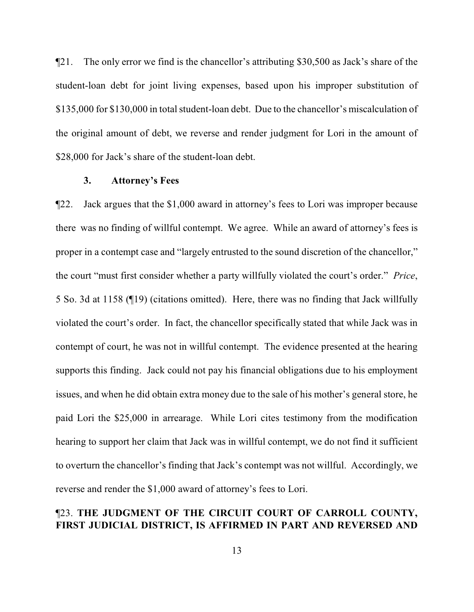¶21. The only error we find is the chancellor's attributing \$30,500 as Jack's share of the student-loan debt for joint living expenses, based upon his improper substitution of \$135,000 for \$130,000 in total student-loan debt. Due to the chancellor's miscalculation of the original amount of debt, we reverse and render judgment for Lori in the amount of \$28,000 for Jack's share of the student-loan debt.

#### **3. Attorney's Fees**

¶22. Jack argues that the \$1,000 award in attorney's fees to Lori was improper because there was no finding of willful contempt. We agree. While an award of attorney's fees is proper in a contempt case and "largely entrusted to the sound discretion of the chancellor," the court "must first consider whether a party willfully violated the court's order." *Price*, 5 So. 3d at 1158 (¶19) (citations omitted). Here, there was no finding that Jack willfully violated the court's order. In fact, the chancellor specifically stated that while Jack was in contempt of court, he was not in willful contempt. The evidence presented at the hearing supports this finding. Jack could not pay his financial obligations due to his employment issues, and when he did obtain extra money due to the sale of his mother's general store, he paid Lori the \$25,000 in arrearage. While Lori cites testimony from the modification hearing to support her claim that Jack was in willful contempt, we do not find it sufficient to overturn the chancellor's finding that Jack's contempt was not willful. Accordingly, we reverse and render the \$1,000 award of attorney's fees to Lori.

# ¶23. **THE JUDGMENT OF THE CIRCUIT COURT OF CARROLL COUNTY, FIRST JUDICIAL DISTRICT, IS AFFIRMED IN PART AND REVERSED AND**